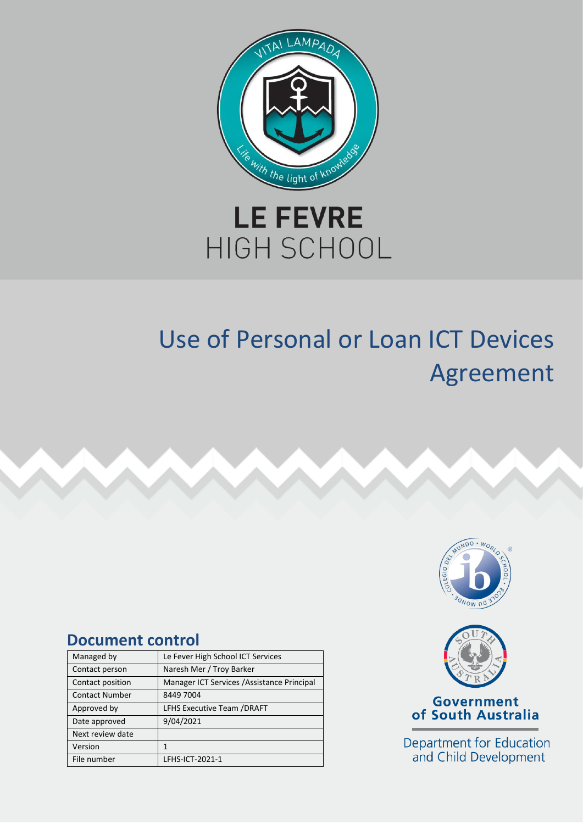

# **LE FEVRE** HIGH SCHOOL

# Use of Personal or Loan ICT Devices Agreement



## **Document control**

| Managed by            | Le Fever High School ICT Services           |
|-----------------------|---------------------------------------------|
| Contact person        | Naresh Mer / Troy Barker                    |
| Contact position      | Manager ICT Services / Assistance Principal |
| <b>Contact Number</b> | 8449 7004                                   |
| Approved by           | <b>LFHS Executive Team / DRAFT</b>          |
| Date approved         | 9/04/2021                                   |
| Next review date      |                                             |
| Version               | 1                                           |
| File number           | LFHS-ICT-2021-1                             |



**Government** of South Australia

Department for Education<br>and Child Development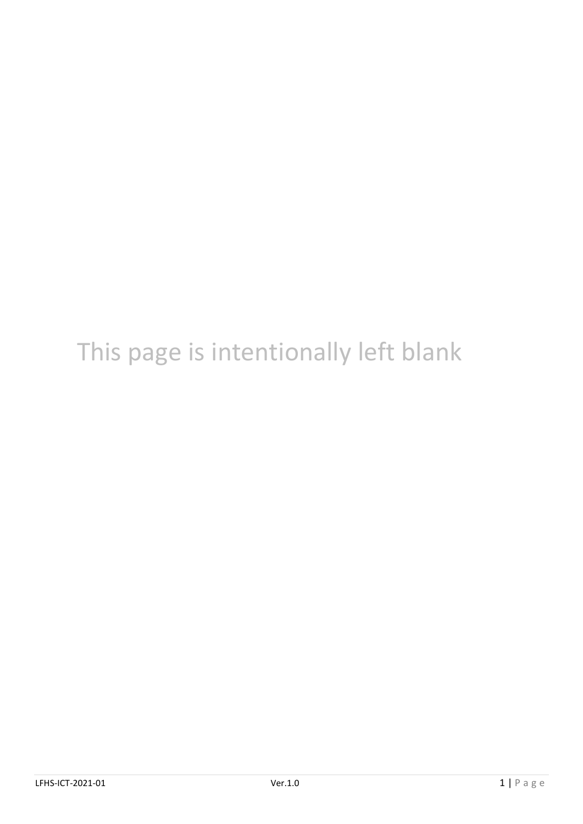# This page is intentionally left blank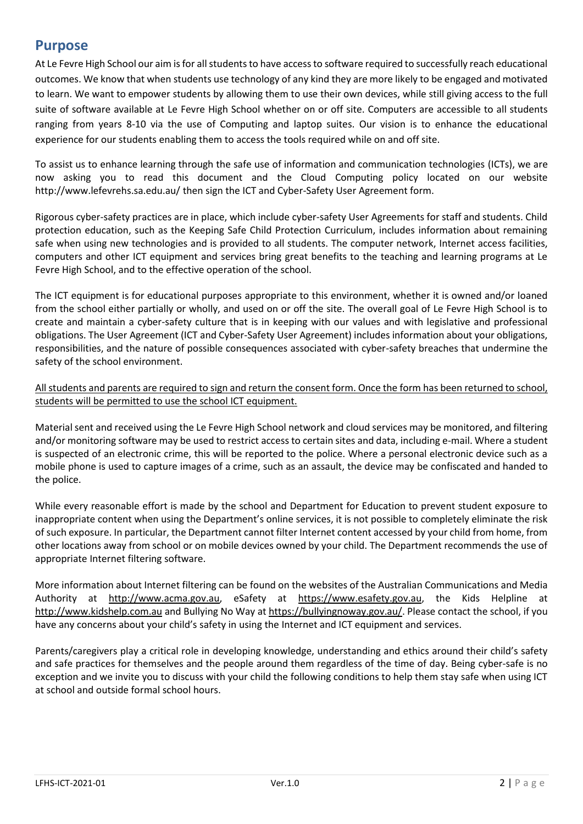## **Purpose**

At Le Fevre High School our aim is for all students to have access to software required to successfully reach educational outcomes. We know that when students use technology of any kind they are more likely to be engaged and motivated to learn. We want to empower students by allowing them to use their own devices, while still giving access to the full suite of software available at Le Fevre High School whether on or off site. Computers are accessible to all students ranging from years 8-10 via the use of Computing and laptop suites. Our vision is to enhance the educational experience for our students enabling them to access the tools required while on and off site.

To assist us to enhance learning through the safe use of information and communication technologies (ICTs), we are now asking you to read this document and the Cloud Computing policy located on our website http://www.lefevrehs.sa.edu.au/ then sign the ICT and Cyber-Safety User Agreement form.

Rigorous cyber-safety practices are in place, which include cyber-safety User Agreements for staff and students. Child protection education, such as the Keeping Safe Child Protection Curriculum, includes information about remaining safe when using new technologies and is provided to all students. The computer network, Internet access facilities, computers and other ICT equipment and services bring great benefits to the teaching and learning programs at Le Fevre High School, and to the effective operation of the school.

The ICT equipment is for educational purposes appropriate to this environment, whether it is owned and/or loaned from the school either partially or wholly, and used on or off the site. The overall goal of Le Fevre High School is to create and maintain a cyber-safety culture that is in keeping with our values and with legislative and professional obligations. The User Agreement (ICT and Cyber-Safety User Agreement) includes information about your obligations, responsibilities, and the nature of possible consequences associated with cyber-safety breaches that undermine the safety of the school environment.

#### All students and parents are required to sign and return the consent form. Once the form has been returned to school, students will be permitted to use the school ICT equipment.

Material sent and received using the Le Fevre High School network and cloud services may be monitored, and filtering and/or monitoring software may be used to restrict access to certain sites and data, including e-mail. Where a student is suspected of an electronic crime, this will be reported to the police. Where a personal electronic device such as a mobile phone is used to capture images of a crime, such as an assault, the device may be confiscated and handed to the police.

While every reasonable effort is made by the school and Department for Education to prevent student exposure to inappropriate content when using the Department's online services, it is not possible to completely eliminate the risk of such exposure. In particular, the Department cannot filter Internet content accessed by your child from home, from other locations away from school or on mobile devices owned by your child. The Department recommends the use of appropriate Internet filtering software.

More information about Internet filtering can be found on the websites of the Australian Communications and Media Authority at [http://www.acma.gov.au,](http://www.acma.gov.au/) eSafety at [https://www.esafety.gov.au,](https://www.esafety.gov.au/) the Kids Helpline at [http://www.kidshelp.com.au](http://www.kidshelp.com.au/) and Bullying No Way a[t https://bullyingnoway.gov.au/.](https://bullyingnoway.gov.au/) Please contact the school, if you have any concerns about your child's safety in using the Internet and ICT equipment and services.

Parents/caregivers play a critical role in developing knowledge, understanding and ethics around their child's safety and safe practices for themselves and the people around them regardless of the time of day. Being cyber-safe is no exception and we invite you to discuss with your child the following conditions to help them stay safe when using ICT at school and outside formal school hours.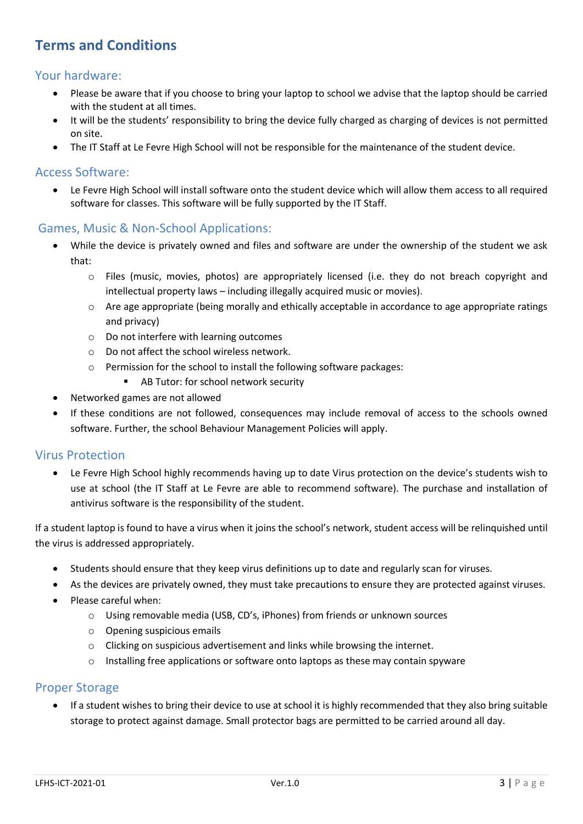## **Terms and Conditions**

#### Your hardware:

- Please be aware that if you choose to bring your laptop to school we advise that the laptop should be carried with the student at all times.
- It will be the students' responsibility to bring the device fully charged as charging of devices is not permitted on site.
- The IT Staff at Le Fevre High School will not be responsible for the maintenance of the student device.

#### Access Software:

• Le Fevre High School will install software onto the student device which will allow them access to all required software for classes. This software will be fully supported by the IT Staff.

#### Games, Music & Non-School Applications:

- While the device is privately owned and files and software are under the ownership of the student we ask that:
	- o Files (music, movies, photos) are appropriately licensed (i.e. they do not breach copyright and intellectual property laws – including illegally acquired music or movies).
	- $\circ$  Are age appropriate (being morally and ethically acceptable in accordance to age appropriate ratings and privacy)
	- o Do not interfere with learning outcomes
	- o Do not affect the school wireless network.
	- o Permission for the school to install the following software packages:
		- AB Tutor: for school network security
- Networked games are not allowed
- If these conditions are not followed, consequences may include removal of access to the schools owned software. Further, the school Behaviour Management Policies will apply.

#### Virus Protection

• Le Fevre High School highly recommends having up to date Virus protection on the device's students wish to use at school (the IT Staff at Le Fevre are able to recommend software). The purchase and installation of antivirus software is the responsibility of the student.

If a student laptop is found to have a virus when it joins the school's network, student access will be relinquished until the virus is addressed appropriately.

- Students should ensure that they keep virus definitions up to date and regularly scan for viruses.
- As the devices are privately owned, they must take precautions to ensure they are protected against viruses.
- Please careful when:
	- o Using removable media (USB, CD's, iPhones) from friends or unknown sources
		- o Opening suspicious emails
		- o Clicking on suspicious advertisement and links while browsing the internet.
		- $\circ$  Installing free applications or software onto laptops as these may contain spyware

#### Proper Storage

• If a student wishes to bring their device to use at school it is highly recommended that they also bring suitable storage to protect against damage. Small protector bags are permitted to be carried around all day.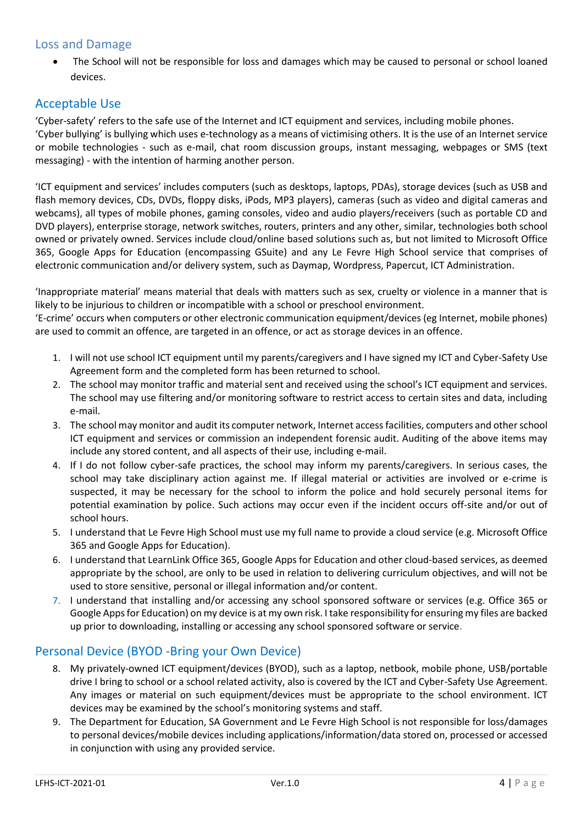### Loss and Damage

• The School will not be responsible for loss and damages which may be caused to personal or school loaned devices.

### Acceptable Use

'Cyber-safety' refers to the safe use of the Internet and ICT equipment and services, including mobile phones.

'Cyber bullying' is bullying which uses e-technology as a means of victimising others. It is the use of an Internet service or mobile technologies - such as e-mail, chat room discussion groups, instant messaging, webpages or SMS (text messaging) - with the intention of harming another person.

'ICT equipment and services' includes computers (such as desktops, laptops, PDAs), storage devices (such as USB and flash memory devices, CDs, DVDs, floppy disks, iPods, MP3 players), cameras (such as video and digital cameras and webcams), all types of mobile phones, gaming consoles, video and audio players/receivers (such as portable CD and DVD players), enterprise storage, network switches, routers, printers and any other, similar, technologies both school owned or privately owned. Services include cloud/online based solutions such as, but not limited to Microsoft Office 365, Google Apps for Education (encompassing GSuite) and any Le Fevre High School service that comprises of electronic communication and/or delivery system, such as Daymap, Wordpress, Papercut, ICT Administration.

'Inappropriate material' means material that deals with matters such as sex, cruelty or violence in a manner that is likely to be injurious to children or incompatible with a school or preschool environment.

'E-crime' occurs when computers or other electronic communication equipment/devices (eg Internet, mobile phones) are used to commit an offence, are targeted in an offence, or act as storage devices in an offence.

- 1. I will not use school ICT equipment until my parents/caregivers and I have signed my ICT and Cyber-Safety Use Agreement form and the completed form has been returned to school.
- 2. The school may monitor traffic and material sent and received using the school's ICT equipment and services. The school may use filtering and/or monitoring software to restrict access to certain sites and data, including e-mail.
- 3. The school may monitor and audit its computer network, Internet access facilities, computers and other school ICT equipment and services or commission an independent forensic audit. Auditing of the above items may include any stored content, and all aspects of their use, including e-mail.
- 4. If I do not follow cyber-safe practices, the school may inform my parents/caregivers. In serious cases, the school may take disciplinary action against me. If illegal material or activities are involved or e-crime is suspected, it may be necessary for the school to inform the police and hold securely personal items for potential examination by police. Such actions may occur even if the incident occurs off-site and/or out of school hours.
- 5. I understand that Le Fevre High School must use my full name to provide a cloud service (e.g. Microsoft Office 365 and Google Apps for Education).
- 6. I understand that LearnLink Office 365, Google Apps for Education and other cloud-based services, as deemed appropriate by the school, are only to be used in relation to delivering curriculum objectives, and will not be used to store sensitive, personal or illegal information and/or content.
- 7. I understand that installing and/or accessing any school sponsored software or services (e.g. Office 365 or Google Apps for Education) on my device is at my own risk. I take responsibility for ensuring my files are backed up prior to downloading, installing or accessing any school sponsored software or service.

## Personal Device (BYOD -Bring your Own Device)

- 8. My privately-owned ICT equipment/devices (BYOD), such as a laptop, netbook, mobile phone, USB/portable drive I bring to school or a school related activity, also is covered by the ICT and Cyber-Safety Use Agreement. Any images or material on such equipment/devices must be appropriate to the school environment. ICT devices may be examined by the school's monitoring systems and staff.
- 9. The Department for Education, SA Government and Le Fevre High School is not responsible for loss/damages to personal devices/mobile devices including applications/information/data stored on, processed or accessed in conjunction with using any provided service.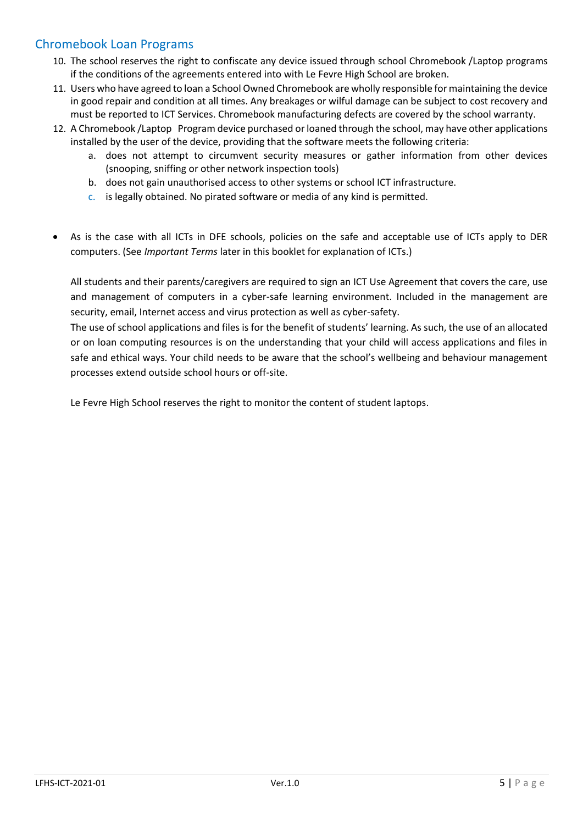### Chromebook Loan Programs

- 10. The school reserves the right to confiscate any device issued through school Chromebook /Laptop programs if the conditions of the agreements entered into with Le Fevre High School are broken.
- 11. Users who have agreed to loan a School Owned Chromebook are wholly responsible for maintaining the device in good repair and condition at all times. Any breakages or wilful damage can be subject to cost recovery and must be reported to ICT Services. Chromebook manufacturing defects are covered by the school warranty.
- 12. A Chromebook /Laptop Program device purchased or loaned through the school, may have other applications installed by the user of the device, providing that the software meets the following criteria:
	- a. does not attempt to circumvent security measures or gather information from other devices (snooping, sniffing or other network inspection tools)
	- b. does not gain unauthorised access to other systems or school ICT infrastructure.
	- c. is legally obtained. No pirated software or media of any kind is permitted.
- As is the case with all ICTs in DFE schools, policies on the safe and acceptable use of ICTs apply to DER computers. (See *Important Terms* later in this booklet for explanation of ICTs.)

All students and their parents/caregivers are required to sign an ICT Use Agreement that covers the care, use and management of computers in a cyber-safe learning environment. Included in the management are security, email, Internet access and virus protection as well as cyber-safety.

The use of school applications and files is for the benefit of students' learning. As such, the use of an allocated or on loan computing resources is on the understanding that your child will access applications and files in safe and ethical ways. Your child needs to be aware that the school's wellbeing and behaviour management processes extend outside school hours or off-site.

Le Fevre High School reserves the right to monitor the content of student laptops.